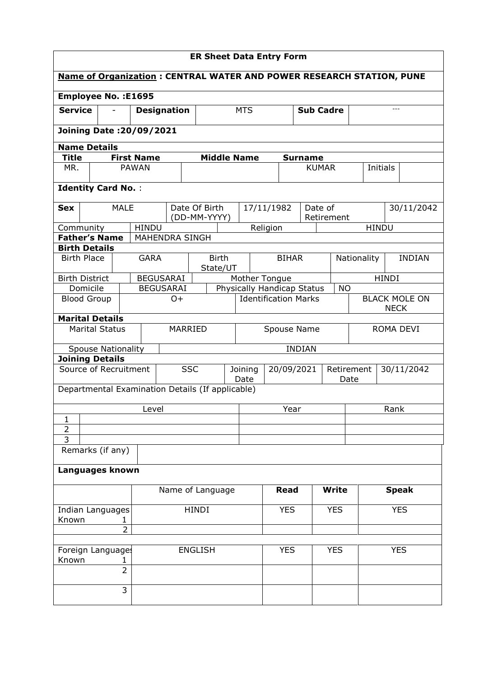| <b>ER Sheet Data Entry Form</b>                                             |                |                           |                  |                    |                       |  |                                                  |                                         |              |                                     |                |                    |                              |              |  |
|-----------------------------------------------------------------------------|----------------|---------------------------|------------------|--------------------|-----------------------|--|--------------------------------------------------|-----------------------------------------|--------------|-------------------------------------|----------------|--------------------|------------------------------|--------------|--|
| <b>Name of Organization: CENTRAL WATER AND POWER RESEARCH STATION, PUNE</b> |                |                           |                  |                    |                       |  |                                                  |                                         |              |                                     |                |                    |                              |              |  |
| <b>Employee No.: E1695</b>                                                  |                |                           |                  |                    |                       |  |                                                  |                                         |              |                                     |                |                    |                              |              |  |
| <b>Service</b>                                                              |                |                           |                  | <b>Designation</b> |                       |  | <b>MTS</b>                                       |                                         |              | <b>Sub Cadre</b>                    |                |                    |                              |              |  |
| Joining Date: 20/09/2021                                                    |                |                           |                  |                    |                       |  |                                                  |                                         |              |                                     |                |                    |                              |              |  |
| <b>Name Details</b>                                                         |                |                           |                  |                    |                       |  |                                                  |                                         |              |                                     |                |                    |                              |              |  |
| <b>Title</b>                                                                |                |                           |                  | <b>First Name</b>  |                       |  | <b>Middle Name</b>                               |                                         |              |                                     | <b>Surname</b> |                    |                              |              |  |
| MR.                                                                         |                |                           |                  | <b>PAWAN</b>       |                       |  |                                                  |                                         |              | <b>KUMAR</b>                        |                |                    | <b>Initials</b>              |              |  |
| <b>Identity Card No.:</b>                                                   |                |                           |                  |                    |                       |  |                                                  |                                         |              |                                     |                |                    |                              |              |  |
| Sex                                                                         |                |                           | <b>MALE</b>      |                    |                       |  | Date Of Birth<br>(DD-MM-YYYY)                    |                                         |              | 17/11/1982                          | Date of        | Retirement         |                              | 30/11/2042   |  |
| Community                                                                   |                |                           |                  | <b>HINDU</b>       |                       |  |                                                  |                                         |              | Religion                            |                |                    |                              | <b>HINDU</b> |  |
| <b>Father's Name</b>                                                        |                |                           |                  |                    | <b>MAHENDRA SINGH</b> |  |                                                  |                                         |              |                                     |                |                    |                              |              |  |
| <b>Birth Details</b>                                                        |                |                           |                  |                    |                       |  |                                                  |                                         |              |                                     |                |                    |                              |              |  |
| <b>Birth Place</b>                                                          |                |                           |                  | <b>GARA</b>        |                       |  | <b>Birth</b><br>State/UT                         |                                         | <b>BIHAR</b> |                                     |                |                    | Nationality<br><b>INDIAN</b> |              |  |
| <b>Birth District</b>                                                       |                |                           |                  | <b>BEGUSARAI</b>   |                       |  | Mother Tongue                                    |                                         |              | <b>HINDI</b>                        |                |                    |                              |              |  |
|                                                                             | Domicile       |                           |                  | <b>BEGUSARAI</b>   |                       |  |                                                  | Physically Handicap Status<br><b>NO</b> |              |                                     |                |                    |                              |              |  |
| <b>Blood Group</b>                                                          |                |                           | $O+$             |                    |                       |  | <b>Identification Marks</b>                      |                                         |              | <b>BLACK MOLE ON</b><br><b>NECK</b> |                |                    |                              |              |  |
| <b>Marital Details</b>                                                      |                |                           |                  |                    |                       |  |                                                  |                                         |              |                                     |                |                    |                              |              |  |
|                                                                             |                | <b>Marital Status</b>     |                  | MARRIED            |                       |  |                                                  | Spouse Name                             |              |                                     |                | ROMA DEVI          |                              |              |  |
|                                                                             |                | <b>Spouse Nationality</b> |                  |                    |                       |  |                                                  |                                         |              |                                     | <b>INDIAN</b>  |                    |                              |              |  |
| <b>Joining Details</b>                                                      |                |                           |                  |                    |                       |  |                                                  |                                         |              |                                     |                |                    |                              |              |  |
| Source of Recruitment                                                       |                |                           |                  | <b>SSC</b>         |                       |  | Joining<br>Date                                  |                                         |              | 20/09/2021                          |                | Retirement<br>Date |                              | 30/11/2042   |  |
|                                                                             |                |                           |                  |                    |                       |  | Departmental Examination Details (If applicable) |                                         |              |                                     |                |                    |                              |              |  |
|                                                                             |                |                           |                  | Level              |                       |  |                                                  |                                         |              | Year                                |                |                    |                              | Rank         |  |
| 1<br>$\overline{2}$                                                         |                |                           |                  |                    |                       |  |                                                  |                                         |              |                                     |                |                    |                              |              |  |
| $\overline{3}$                                                              |                |                           |                  |                    |                       |  |                                                  |                                         |              |                                     |                |                    |                              |              |  |
|                                                                             |                | Remarks (if any)          |                  |                    |                       |  |                                                  |                                         |              |                                     |                |                    |                              |              |  |
| Languages known                                                             |                |                           |                  |                    |                       |  |                                                  |                                         |              |                                     |                |                    |                              |              |  |
|                                                                             |                |                           | Name of Language |                    |                       |  |                                                  | <b>Read</b>                             |              | <b>Write</b>                        |                |                    | <b>Speak</b>                 |              |  |
| Indian Languages<br>Known                                                   |                |                           | 1.               | <b>HINDI</b>       |                       |  |                                                  |                                         | <b>YES</b>   |                                     | <b>YES</b>     |                    | <b>YES</b>                   |              |  |
|                                                                             | $\overline{2}$ |                           |                  |                    |                       |  |                                                  |                                         |              |                                     |                |                    |                              |              |  |
| Foreign Language:<br>Known                                                  |                |                           |                  | <b>ENGLISH</b>     |                       |  |                                                  |                                         | <b>YES</b>   |                                     | <b>YES</b>     |                    |                              | <b>YES</b>   |  |
|                                                                             |                |                           | $\overline{2}$   |                    |                       |  |                                                  |                                         |              |                                     |                |                    |                              |              |  |
|                                                                             |                |                           | 3                |                    |                       |  |                                                  |                                         |              |                                     |                |                    |                              |              |  |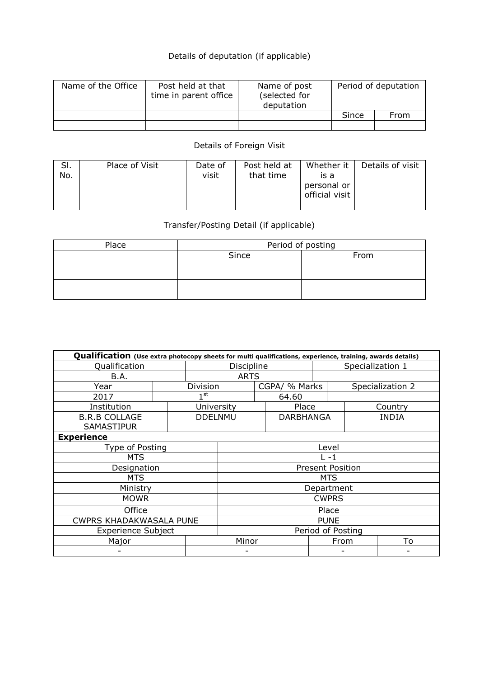## Details of deputation (if applicable)

| Name of the Office | Post held at that<br>time in parent office | Name of post<br>(selected for<br>deputation | Period of deputation |      |  |
|--------------------|--------------------------------------------|---------------------------------------------|----------------------|------|--|
|                    |                                            |                                             | Since                | From |  |
|                    |                                            |                                             |                      |      |  |

## Details of Foreign Visit

| SI. | Place of Visit | Date of | Post held at | Whether it     | Details of visit |
|-----|----------------|---------|--------------|----------------|------------------|
| No. |                | visit   | that time    | is a           |                  |
|     |                |         |              | personal or    |                  |
|     |                |         |              | official visit |                  |
|     |                |         |              |                |                  |

## Transfer/Posting Detail (if applicable)

| Place | Period of posting |      |  |  |  |  |
|-------|-------------------|------|--|--|--|--|
|       | Since             | From |  |  |  |  |
|       |                   |      |  |  |  |  |
|       |                   |      |  |  |  |  |
|       |                   |      |  |  |  |  |
|       |                   |      |  |  |  |  |

| Qualification (Use extra photocopy sheets for multi qualifications, experience, training, awards details) |              |              |                              |             |            |                                                    |                                                                    |  |  |  |
|-----------------------------------------------------------------------------------------------------------|--------------|--------------|------------------------------|-------------|------------|----------------------------------------------------|--------------------------------------------------------------------|--|--|--|
| Qualification                                                                                             |              |              |                              | Discipline  |            |                                                    | Specialization 1                                                   |  |  |  |
| B.A.                                                                                                      |              |              |                              | <b>ARTS</b> |            |                                                    |                                                                    |  |  |  |
|                                                                                                           | Division     |              |                              |             |            | Specialization 2                                   |                                                                    |  |  |  |
|                                                                                                           | $1^{\rm st}$ |              | 64.60                        |             |            |                                                    |                                                                    |  |  |  |
|                                                                                                           |              |              |                              | Place       |            |                                                    | Country                                                            |  |  |  |
|                                                                                                           |              |              |                              |             |            |                                                    | <b>INDIA</b>                                                       |  |  |  |
|                                                                                                           |              |              |                              |             |            |                                                    |                                                                    |  |  |  |
| <b>Experience</b>                                                                                         |              |              |                              |             |            |                                                    |                                                                    |  |  |  |
| Type of Posting                                                                                           |              |              |                              | Level       |            |                                                    |                                                                    |  |  |  |
| <b>MTS</b>                                                                                                |              |              |                              | $L - 1$     |            |                                                    |                                                                    |  |  |  |
| Designation                                                                                               |              |              |                              |             |            |                                                    |                                                                    |  |  |  |
|                                                                                                           |              |              |                              |             | <b>MTS</b> |                                                    |                                                                    |  |  |  |
|                                                                                                           |              |              |                              |             |            |                                                    |                                                                    |  |  |  |
|                                                                                                           |              | <b>CWPRS</b> |                              |             |            |                                                    |                                                                    |  |  |  |
|                                                                                                           |              |              |                              |             |            |                                                    |                                                                    |  |  |  |
| Office<br><b>CWPRS KHADAKWASALA PUNE</b>                                                                  |              |              |                              |             |            |                                                    |                                                                    |  |  |  |
| <b>Experience Subject</b>                                                                                 |              |              |                              |             |            |                                                    |                                                                    |  |  |  |
| Major                                                                                                     |              |              |                              |             |            |                                                    | To                                                                 |  |  |  |
|                                                                                                           |              |              |                              |             |            |                                                    |                                                                    |  |  |  |
|                                                                                                           |              |              | University<br><b>DDELNMU</b> | Minor       |            | CGPA/ % Marks<br>DARBHANGA<br>Place<br><b>PUNE</b> | <b>Present Position</b><br>Department<br>Period of Posting<br>From |  |  |  |